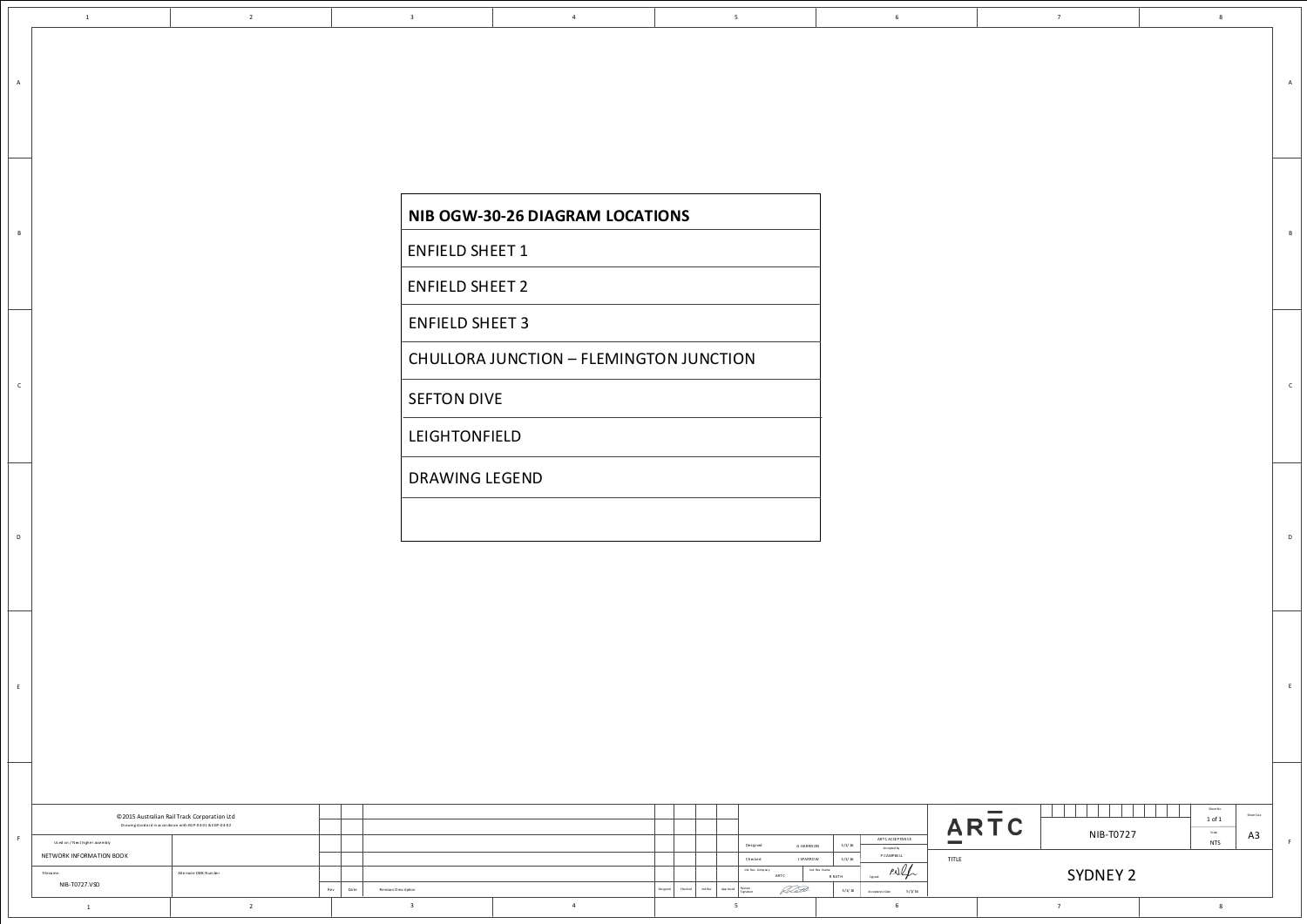<span id="page-0-0"></span>

 $A$ 

 $\,$  B

 $\mathsf{C}$ 

 $D$ 

 $E$ 

| <b>NIB OGW-30-26 DIAGRAM LOCATIONS</b>  |
|-----------------------------------------|
| <b>ENFIELD SHEET 1</b>                  |
| <b>ENFIELD SHEET 2</b>                  |
| <b>ENFIELD SHEET 3</b>                  |
| CHULLORA JUNCTION - FLEMINGTON JUNCTION |
| <b>SEFTON DIVE</b>                      |
| <b>LEIGHTONFIELD</b>                    |
| <b>DRAWING LEGEND</b>                   |
|                                         |

|                                | © 2015 Australian Rail Track Corporation Ltd<br>Drawingstandard in accordance with EGP-04-01 & EGP-04-02 |     |                              |                     |                                      |        |                |               |                           | $\sim$<br>$\mathbf{\mathcal{L}}$ |
|--------------------------------|----------------------------------------------------------------------------------------------------------|-----|------------------------------|---------------------|--------------------------------------|--------|----------------|---------------|---------------------------|----------------------------------|
| Used on / Next higher assembly |                                                                                                          |     |                              |                     | Designed                             |        | G HARRISON     | 5/1/16        | ARTC ACCEPTANCE           | <b>Contract Contract</b>         |
| NETWORK INFORMATION BOOK       |                                                                                                          |     |                              |                     | Checked                              |        | J SPARROW      | 5/1/16        | Accepted by<br>P CAMPBELL | TITLE                            |
| Filename:                      | Alternate DMS N um ber                                                                                   |     |                              |                     | Ind. Rev. Comp any                   | ARTC   | Ind. Rev. Name | <b>R RATH</b> | P.<br>Signed:             |                                  |
| NIB-T0727.VSD                  |                                                                                                          | Rev | Date<br>Revision Description | Checked<br>Designed | Ind.Rev Approved Review<br>Signature | Reald- |                | 5/1/16        | 5/1/16<br>Acceptance Date |                                  |
|                                |                                                                                                          |     |                              |                     |                                      |        |                |               |                           |                                  |

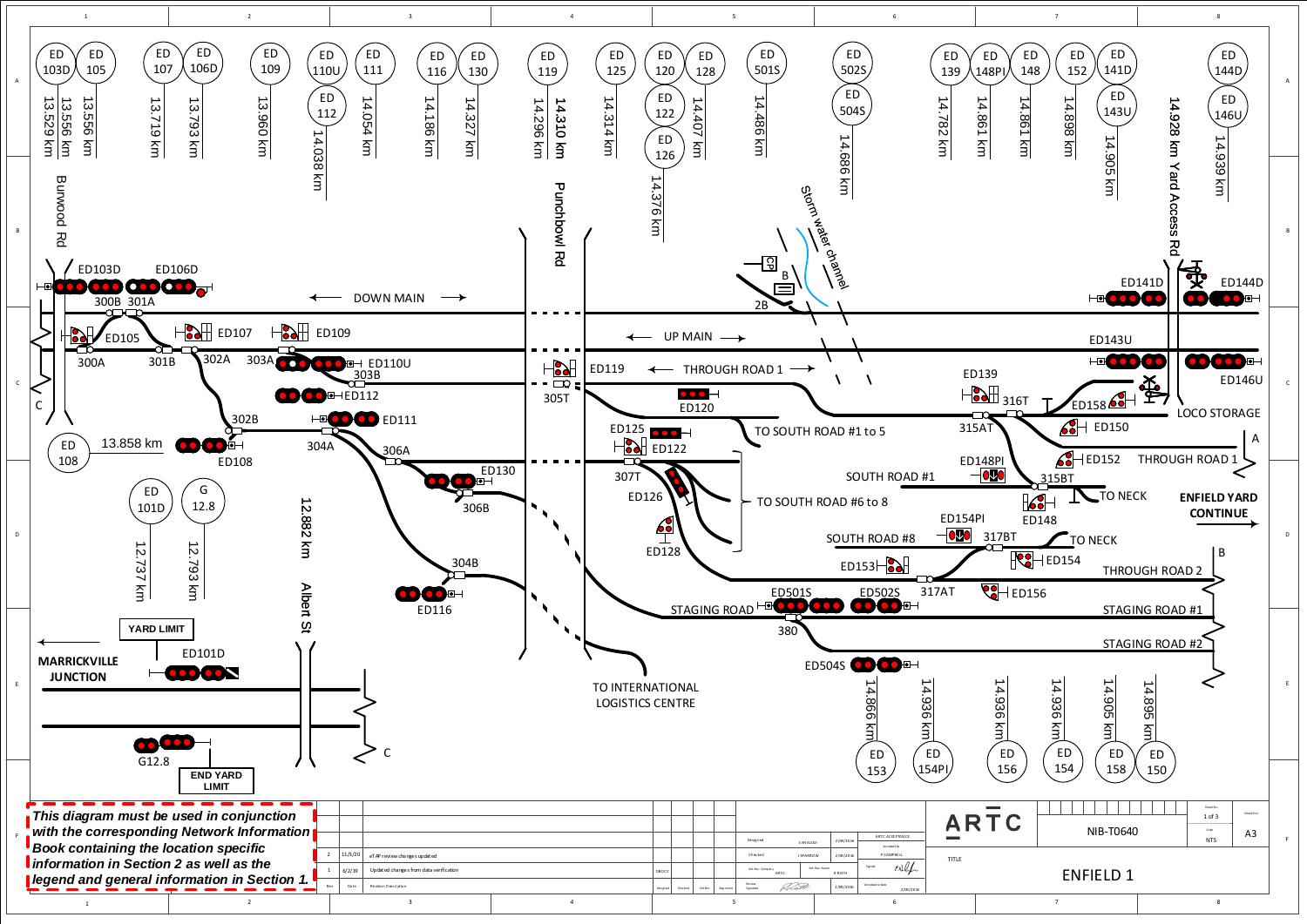<span id="page-1-0"></span>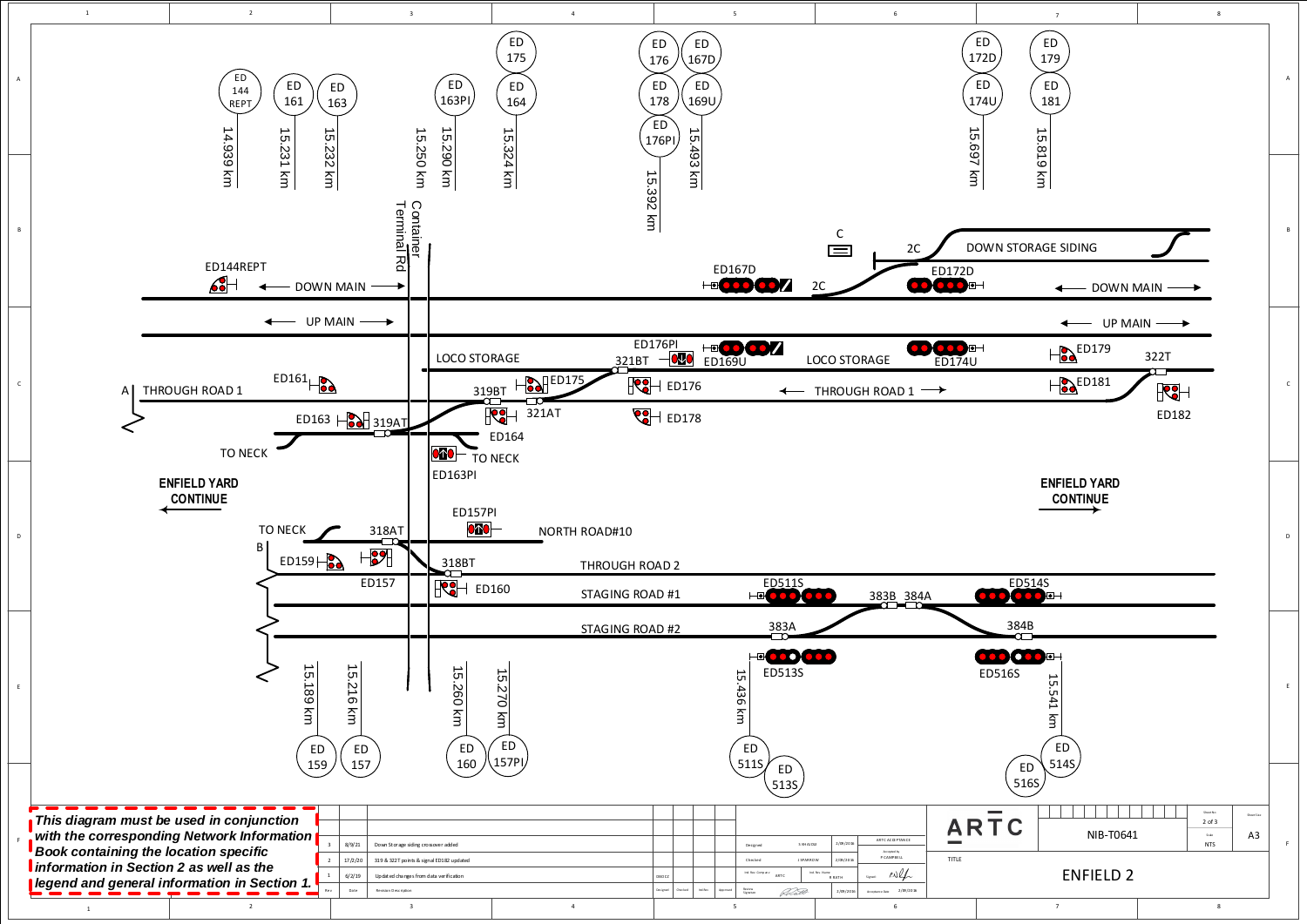<span id="page-2-0"></span>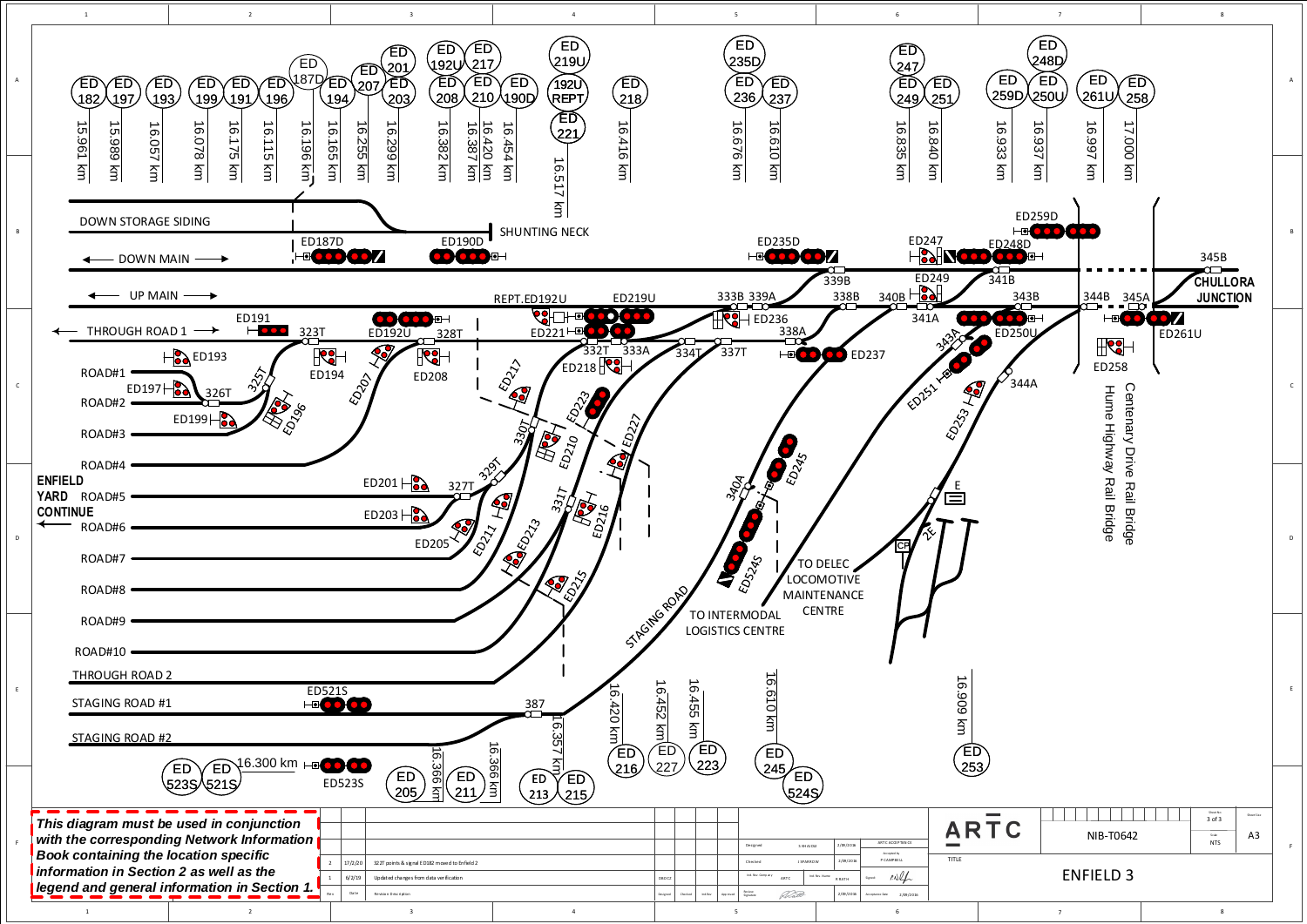<span id="page-3-0"></span>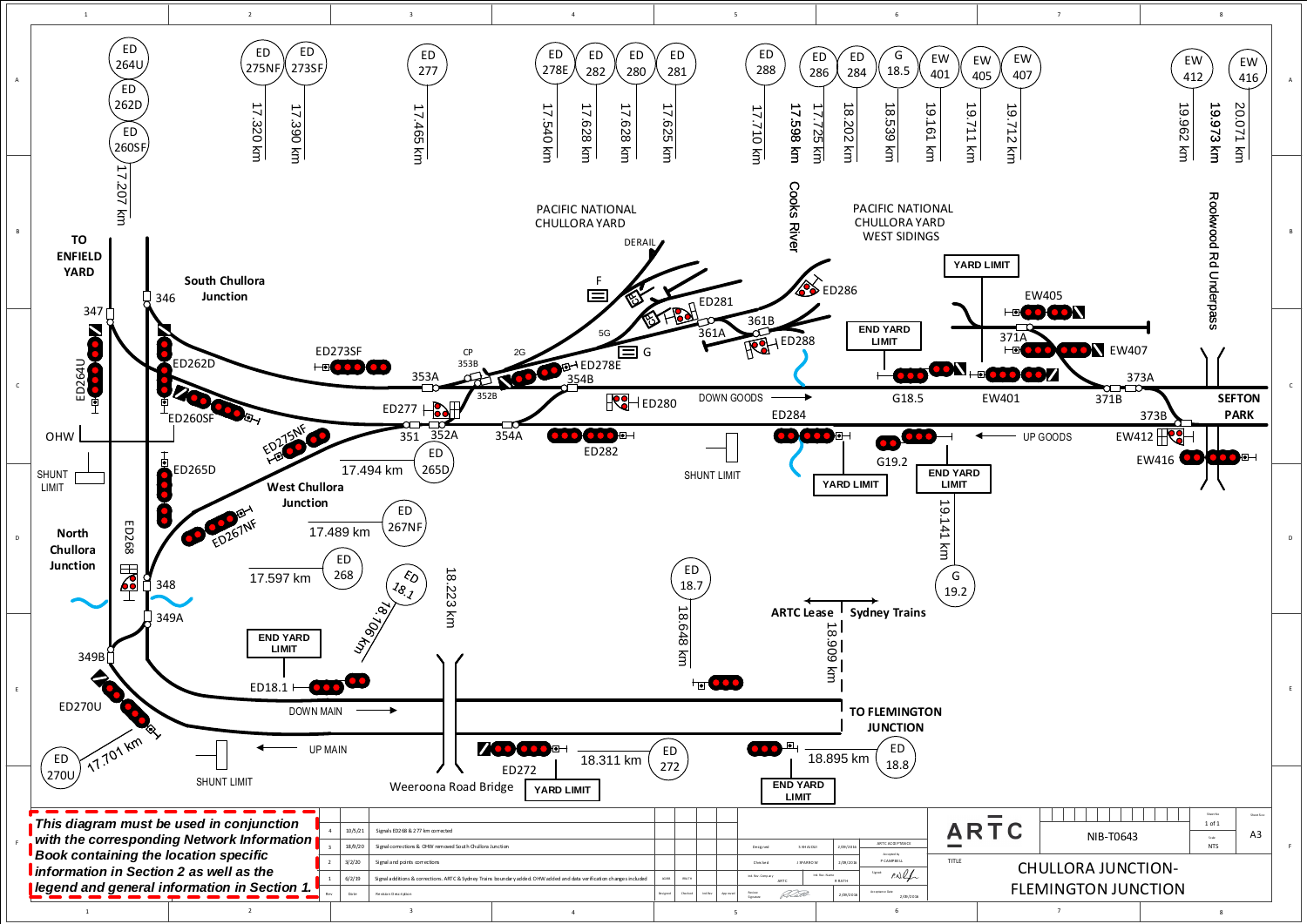<span id="page-4-0"></span>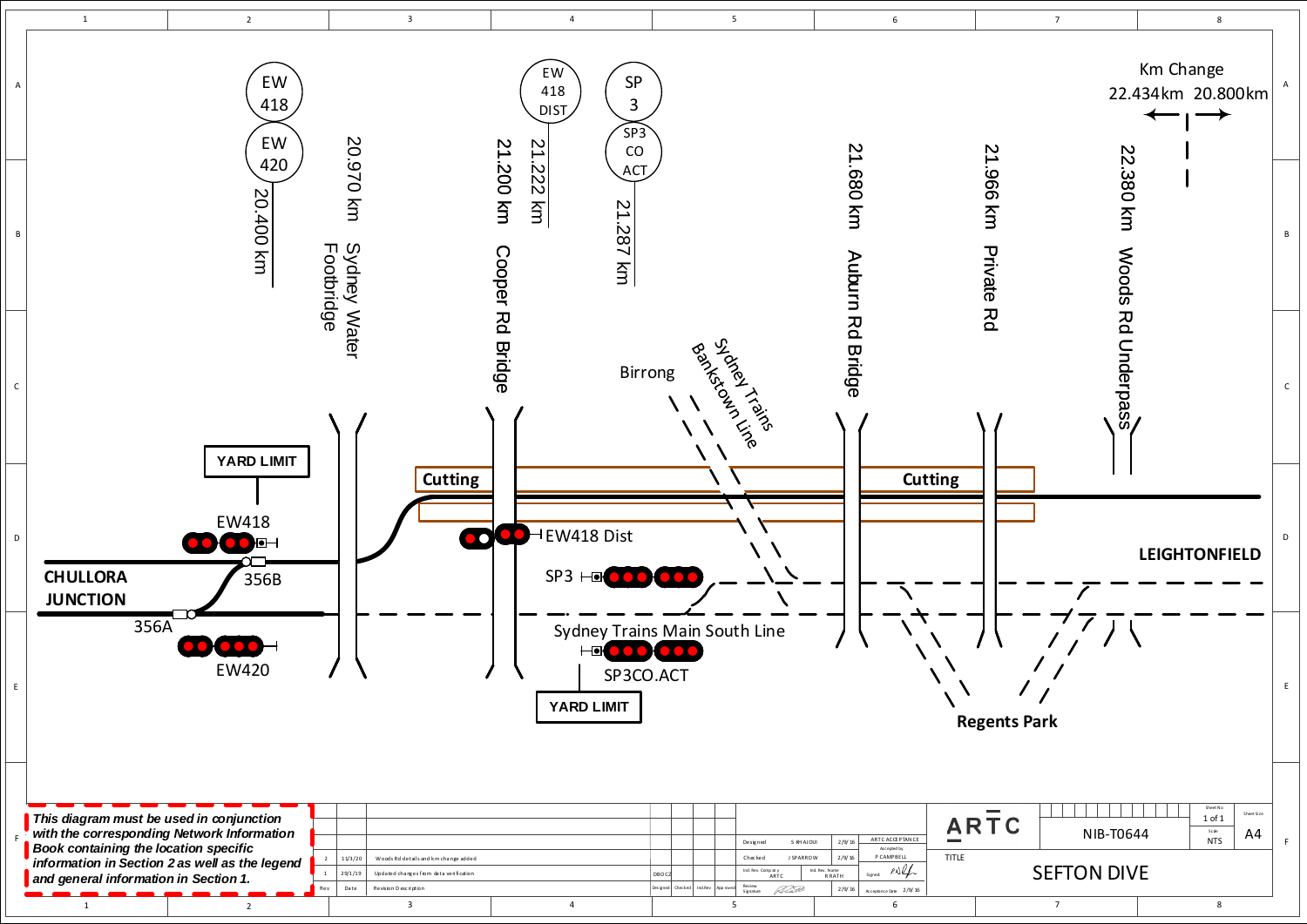<span id="page-5-0"></span>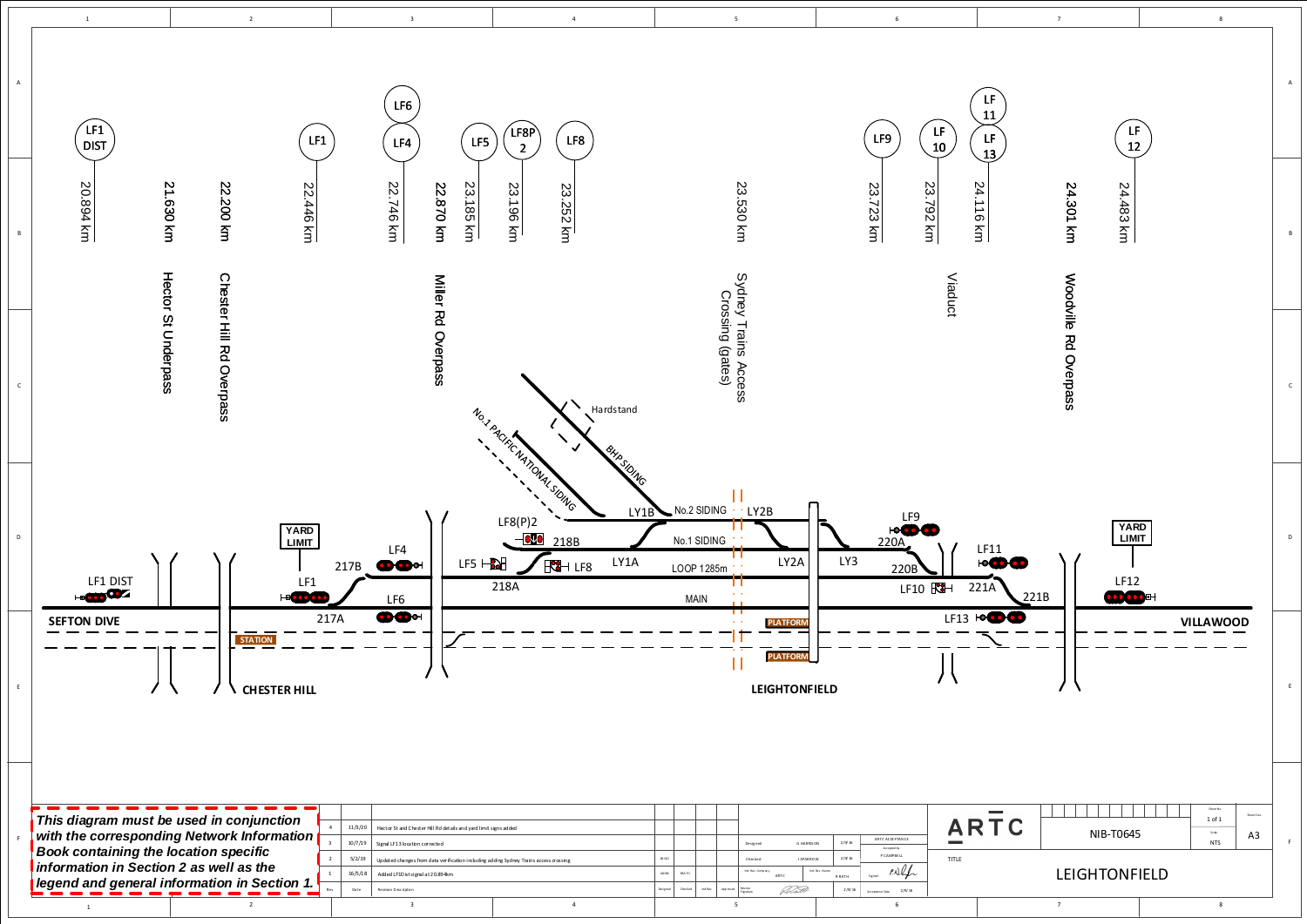<span id="page-6-0"></span>